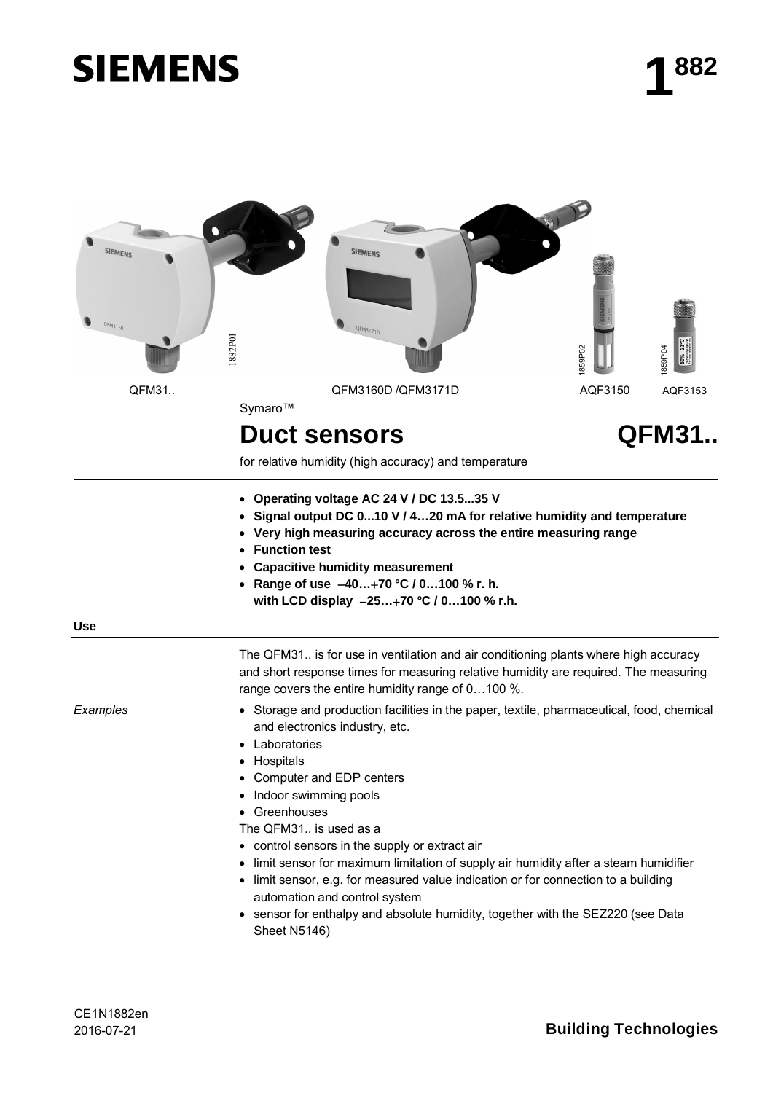# **SIEMENS**



for relative humidity (high accuracy) and temperature

- x **Operating voltage AC 24 V / DC 13.5...35 V**
- x **Signal output DC 0...10 V / 4…20 mA for relative humidity and temperature**
- **Very high measuring accuracy across the entire measuring range**
- **Function test**
- x **Capacitive humidity measurement**
- x **Range of use 40…70 °C / 0…100 % r. h.**
	- **with LCD display 25…70 °C / 0…100 % r.h.**

**Use**

The QFM31.. is for use in ventilation and air conditioning plants where high accuracy and short response times for measuring relative humidity are required. The measuring range covers the entire humidity range of 0…100 %.

*Examples*

• Storage and production facilities in the paper, textile, pharmaceutical, food, chemical and electronics industry, etc.

- Laboratories
- Hospitals
- Computer and EDP centers
- Indoor swimming pools
- Greenhouses
- The QFM31.. is used as a
- control sensors in the supply or extract air
- limit sensor for maximum limitation of supply air humidity after a steam humidifier
- limit sensor, e.g. for measured value indication or for connection to a building automation and control system
- sensor for enthalpy and absolute humidity, together with the SEZ220 (see Data Sheet N5146)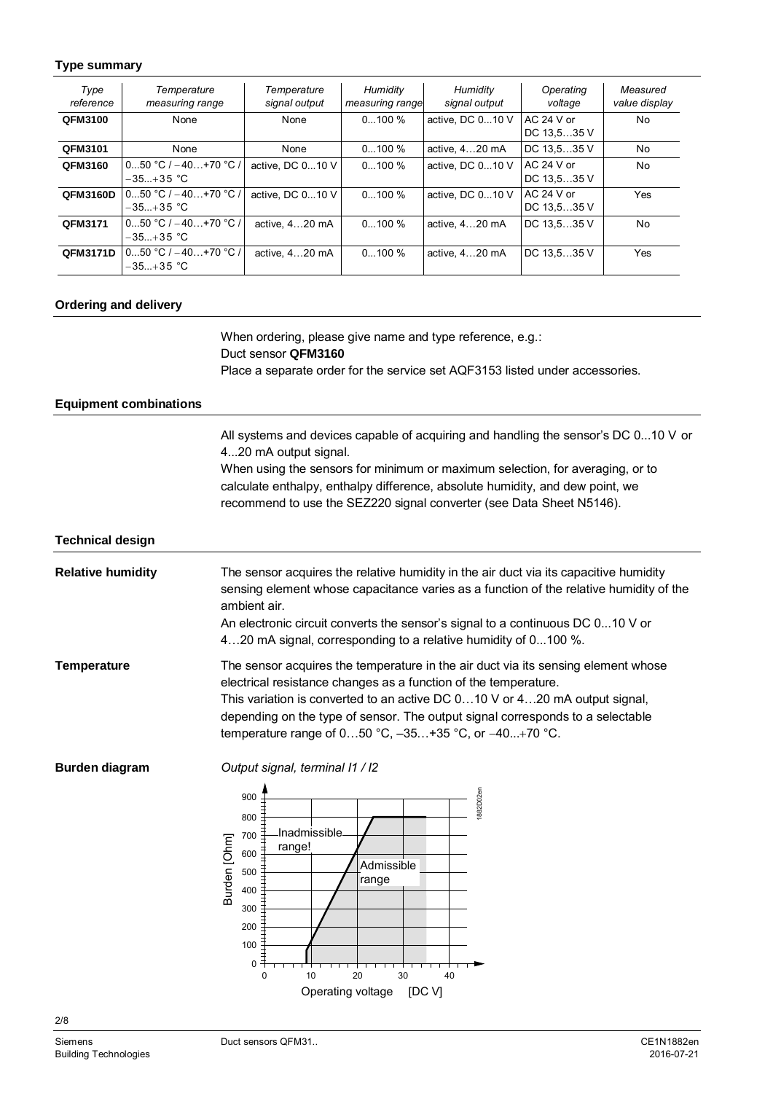### **Type summary**

| Type<br>reference | Temperature<br>measuring range          | Temperature<br>signal output | Humidity<br>measuring range | Humidity<br>signal output | Operating<br>voltage        | Measured<br>value display |
|-------------------|-----------------------------------------|------------------------------|-----------------------------|---------------------------|-----------------------------|---------------------------|
| QFM3100           | None                                    | None                         | $0100\%$                    | active. DC 010 V          | $AC$ 24 V or<br>DC 13,535 V | No                        |
| QFM3101           | None                                    | None                         | $0100\%$                    | active, 420 mA            | DC 13,535 V                 | No                        |
| QFM3160           | $050 °C$ / $-40+70 °C$ /<br>$-35+35$ °C | active. DC 010 V             | $0100\%$                    | active. DC 010 V          | AC 24 V or<br>DC 13.535 V   | <b>No</b>                 |
| QFM3160D          | $050 °C$ / $-40+70 °C$ /<br>$-35+35$ °C | active. DC 010 V             | $0100\%$                    | active. DC 010 V          | $AC24 Vor$<br>DC 13,535 V   | Yes                       |
| QFM3171           | $050 °C$ / $-40+70 °C$ /<br>$-35+35$ °C | active, 420 mA               | $0100\%$                    | active. 420 mA            | DC 13.535 V                 | No                        |
| QFM3171D          | 050 °C / $-40+70$ °C /<br>$-35+35$ °C   | active, 420 mA               | $0100\%$                    | active, 420 mA            | DC 13.535 V                 | Yes                       |

### **Ordering and delivery**

When ordering, please give name and type reference, e.g.: Duct sensor **QFM3160** Place a separate order for the service set AQF3153 listed under accessories.

#### **Equipment combinations**

All systems and devices capable of acquiring and handling the sensor's DC 0...10 V or 4...20 mA output signal.

When using the sensors for minimum or maximum selection, for averaging, or to calculate enthalpy, enthalpy difference, absolute humidity, and dew point, we recommend to use the SEZ220 signal converter (see Data Sheet N5146).

#### **Technical design**

| <b>Relative humidity</b> | The sensor acquires the relative humidity in the air duct via its capacitive humidity<br>sensing element whose capacitance varies as a function of the relative humidity of the<br>ambient air.<br>An electronic circuit converts the sensor's signal to a continuous DC 010 V or<br>420 mA signal, corresponding to a relative humidity of 0100 %.                                 |
|--------------------------|-------------------------------------------------------------------------------------------------------------------------------------------------------------------------------------------------------------------------------------------------------------------------------------------------------------------------------------------------------------------------------------|
| <b>Temperature</b>       | The sensor acquires the temperature in the air duct via its sensing element whose<br>electrical resistance changes as a function of the temperature.<br>This variation is converted to an active DC 010 V or 420 mA output signal,<br>depending on the type of sensor. The output signal corresponds to a selectable<br>temperature range of $050$ °C, $-35+35$ °C, or $-40+70$ °C. |

**Burden diagram**

*Output signal, terminal I1 / I2*

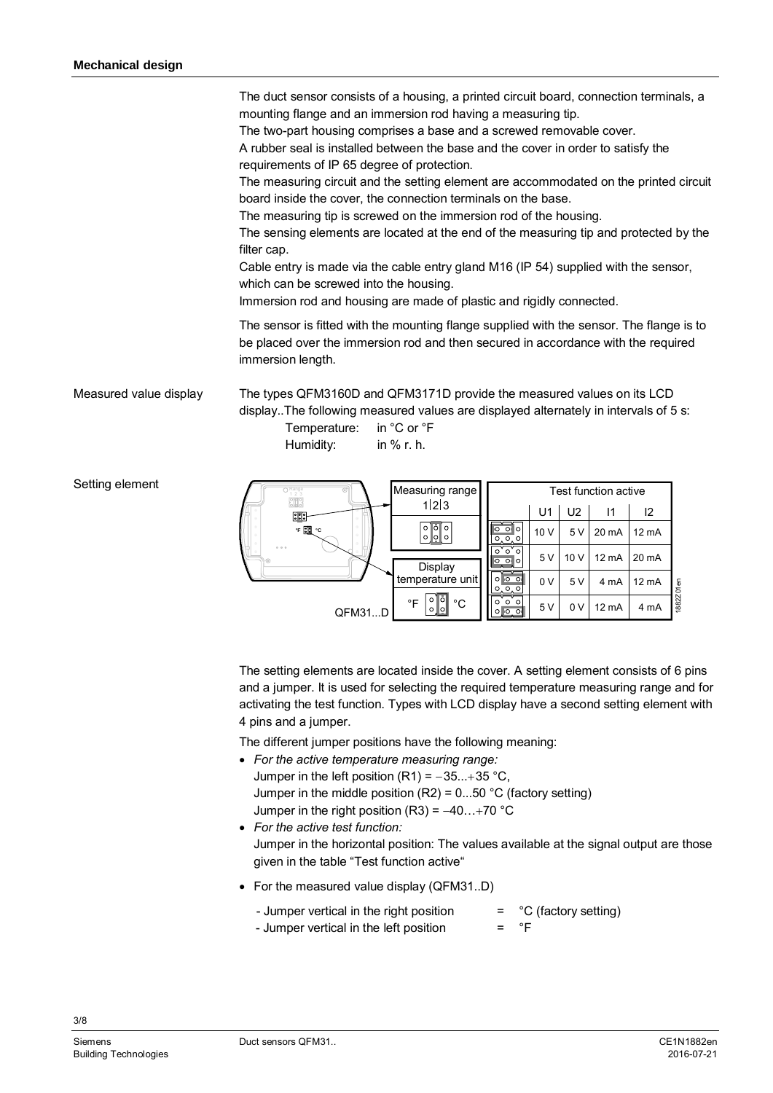The duct sensor consists of a housing, a printed circuit board, connection terminals, a mounting flange and an immersion rod having a measuring tip.

The two-part housing comprises a base and a screwed removable cover.

A rubber seal is installed between the base and the cover in order to satisfy the requirements of IP 65 degree of protection.

The measuring circuit and the setting element are accommodated on the printed circuit board inside the cover, the connection terminals on the base.

The measuring tip is screwed on the immersion rod of the housing.

The sensing elements are located at the end of the measuring tip and protected by the filter cap.

Cable entry is made via the cable entry gland M16 (IP 54) supplied with the sensor, which can be screwed into the housing.

Immersion rod and housing are made of plastic and rigidly connected.

The sensor is fitted with the mounting flange supplied with the sensor. The flange is to be placed over the immersion rod and then secured in accordance with the required immersion length.

The types QFM3160D and QFM3171D provide the measured values on its LCD display..The following measured values are displayed alternately in intervals of 5 s: [Measured](http://dict.leo.org/ende?lp=ende&p=eek2E.&search=measured) [value](http://dict.leo.org/ende?lp=ende&p=eek2E.&search=value) [display](http://dict.leo.org/ende?lp=ende&p=eek2E.&search=display)

> Temperature: in °C or °F Humidity: in % r. h.

Setting element



The setting elements are located inside the cover. A setting element consists of 6 pins and a jumper. It is used for selecting the required temperature measuring range and for activating the test function. Types with LCD display have a second setting element with 4 pins and a jumper.

The different jumper positions have the following meaning:

- x *For the active temperature measuring range:* Jumper in the left position  $(R1) = -35...+35$  °C, Jumper in the middle position  $(R2) = 0...50$  °C (factory setting) Jumper in the right position (R3) =  $-40...+70$  °C
- x *For the active test function:* Jumper in the horizontal position: The values available at the signal output are those given in the table "Test function active"
- $\bullet$  For the [measured](http://dict.leo.org/ende?lp=ende&p=eek2E.&search=measured) [value](http://dict.leo.org/ende?lp=ende&p=eek2E.&search=value) [display](http://dict.leo.org/ende?lp=ende&p=eek2E.&search=display) (QFM31..D)

| - Jumper vertical in the right position | $=$ °C (factory setting) |
|-----------------------------------------|--------------------------|
| - Jumper vertical in the left position  | $=$ $\degree$ F          |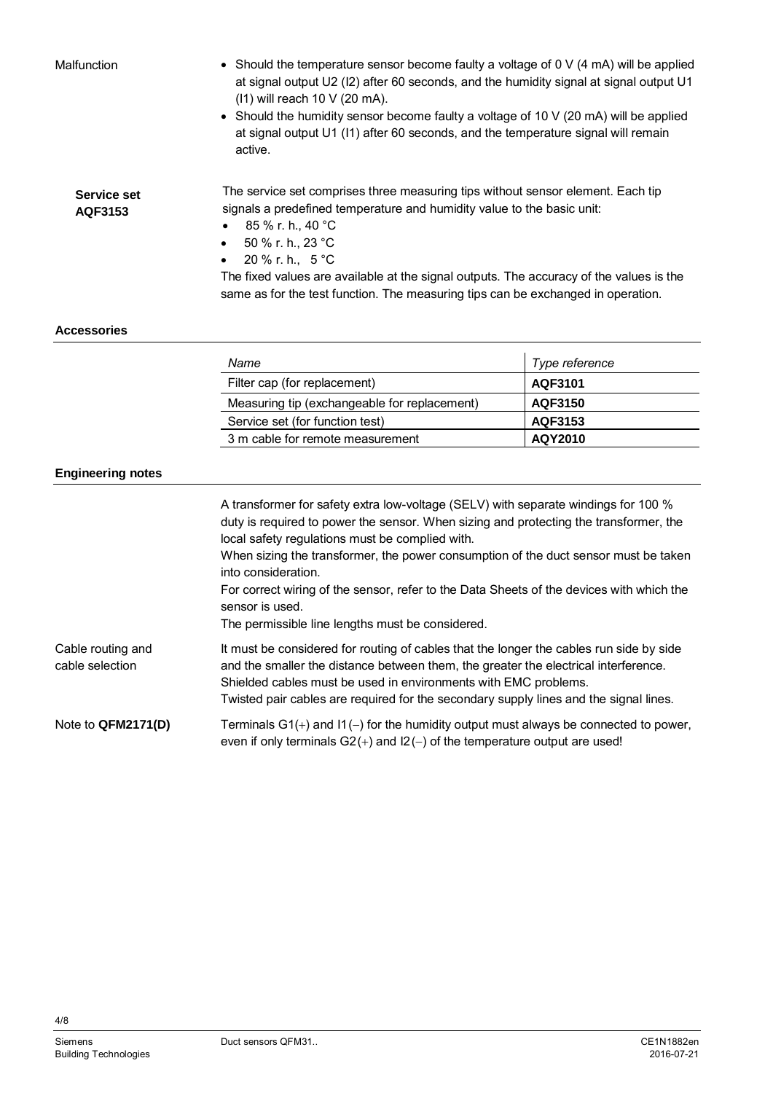Malfunction

- Should the temperature sensor become faulty a voltage of  $0 \vee (4 \text{ mA})$  will be applied at signal output U2 (I2) after 60 seconds, and the humidity signal at signal output U1 (I1) will reach 10 V (20 mA).
- $\bullet$  Should the humidity sensor become faulty a voltage of 10 V (20 mA) will be applied at signal output U1 (I1) after 60 seconds, and the temperature signal will remain active.

The service set comprises three measuring tips without sensor element. Each tip signals a predefined temperature and humidity value to the basic unit:

- $\bullet$  85 % r. h., 40 °C
- $50 \%$  r. h., 23 °C
- 20 % r. h.,  $5^{\circ}$ C

The fixed values are available at the signal outputs. The accuracy of the values is the same as for the test function. The measuring tips can be exchanged in operation.

### **Accessories**

**Service set AQF3153**

| Name                                         | Type reference |
|----------------------------------------------|----------------|
| Filter cap (for replacement)                 | AQF3101        |
| Measuring tip (exchangeable for replacement) | AQF3150        |
| Service set (for function test)              | AQF3153        |
| 3 m cable for remote measurement             | AQY2010        |

### **Engineering notes**

|                                      | A transformer for safety extra low-voltage (SELV) with separate windings for 100 %<br>duty is required to power the sensor. When sizing and protecting the transformer, the<br>local safety regulations must be complied with.<br>When sizing the transformer, the power consumption of the duct sensor must be taken<br>into consideration.<br>For correct wiring of the sensor, refer to the Data Sheets of the devices with which the<br>sensor is used.<br>The permissible line lengths must be considered. |
|--------------------------------------|-----------------------------------------------------------------------------------------------------------------------------------------------------------------------------------------------------------------------------------------------------------------------------------------------------------------------------------------------------------------------------------------------------------------------------------------------------------------------------------------------------------------|
| Cable routing and<br>cable selection | It must be considered for routing of cables that the longer the cables run side by side<br>and the smaller the distance between them, the greater the electrical interference.<br>Shielded cables must be used in environments with EMC problems.<br>Twisted pair cables are required for the secondary supply lines and the signal lines.                                                                                                                                                                      |
| Note to QFM2171(D)                   | Terminals $G1(+)$ and $11(-)$ for the humidity output must always be connected to power,<br>even if only terminals $G2(+)$ and $12(-)$ of the temperature output are used!                                                                                                                                                                                                                                                                                                                                      |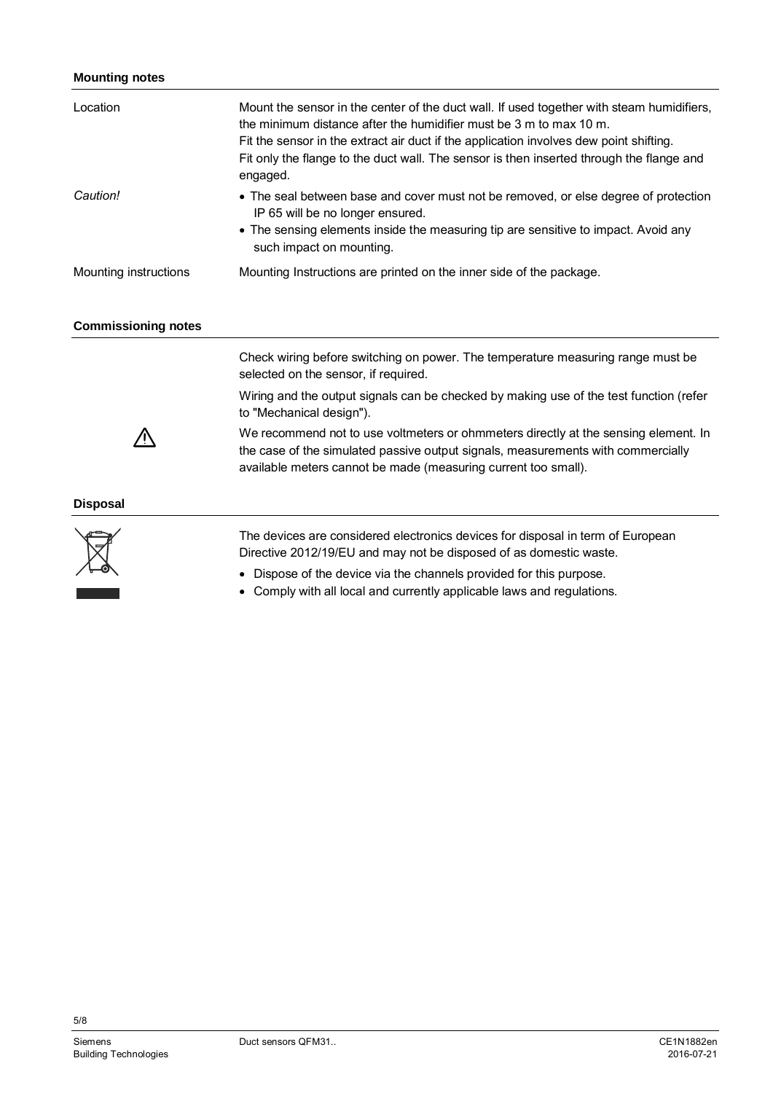## **Mounting notes**

| Location                   | Mount the sensor in the center of the duct wall. If used together with steam humidifiers,<br>the minimum distance after the humidifier must be 3 m to max 10 m.<br>Fit the sensor in the extract air duct if the application involves dew point shifting.<br>Fit only the flange to the duct wall. The sensor is then inserted through the flange and<br>engaged. |
|----------------------------|-------------------------------------------------------------------------------------------------------------------------------------------------------------------------------------------------------------------------------------------------------------------------------------------------------------------------------------------------------------------|
| Caution!                   | • The seal between base and cover must not be removed, or else degree of protection<br>IP 65 will be no longer ensured.<br>• The sensing elements inside the measuring tip are sensitive to impact. Avoid any<br>such impact on mounting.                                                                                                                         |
| Mounting instructions      | Mounting Instructions are printed on the inner side of the package.                                                                                                                                                                                                                                                                                               |
| <b>Commissioning notes</b> |                                                                                                                                                                                                                                                                                                                                                                   |
|                            | Check wiring before switching on power. The temperature measuring range must be<br>selected on the sensor, if required.                                                                                                                                                                                                                                           |
|                            | Wiring and the output signals can be checked by making use of the test function (refer<br>to "Mechanical design").                                                                                                                                                                                                                                                |
|                            | We recommend not to use voltmeters or ohmmeters directly at the sensing element. In<br>the case of the simulated passive output signals, measurements with commercially<br>available meters cannot be made (measuring current too small).                                                                                                                         |
| <b>Disposal</b>            |                                                                                                                                                                                                                                                                                                                                                                   |
|                            | The devices are considered electronics devices for disposal in term of European                                                                                                                                                                                                                                                                                   |

Directive 2012/19/EU and may not be disposed of as domestic waste.

- Dispose of the device via the channels provided for this purpose.
- Comply with all local and currently applicable laws and regulations.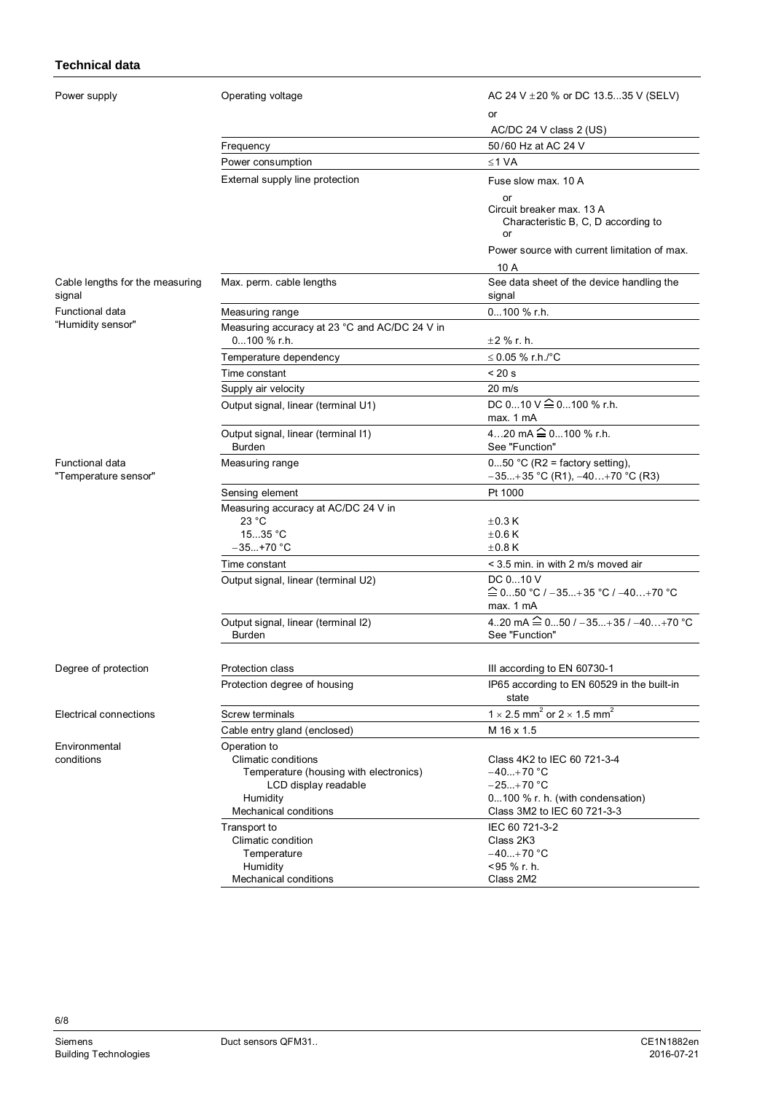## **Technical data**

| Power supply                              | Operating voltage                                              | AC 24 V ± 20 % or DC 13.535 V (SELV)                                         |
|-------------------------------------------|----------------------------------------------------------------|------------------------------------------------------------------------------|
|                                           |                                                                | or                                                                           |
|                                           |                                                                | AC/DC 24 V class 2 (US)                                                      |
|                                           | Frequency                                                      | 50/60 Hz at AC 24 V                                                          |
|                                           | Power consumption                                              | ≤1 VA                                                                        |
|                                           | External supply line protection                                | Fuse slow max, 10 A                                                          |
|                                           |                                                                | or<br>Circuit breaker max. 13 A<br>Characteristic B, C, D according to<br>or |
|                                           |                                                                | Power source with current limitation of max.                                 |
|                                           |                                                                | 10 A                                                                         |
| Cable lengths for the measuring<br>signal | Max. perm. cable lengths                                       | See data sheet of the device handling the<br>signal                          |
| Functional data                           | Measuring range                                                | 0100 % r.h.                                                                  |
| "Humidity sensor"                         | Measuring accuracy at 23 °C and AC/DC 24 V in                  |                                                                              |
|                                           | 0100 % r.h.                                                    | $±2$ % r. h.                                                                 |
|                                           | Temperature dependency                                         | ≤ 0.05 % r.h./°C                                                             |
|                                           | Time constant                                                  | < 20 s                                                                       |
|                                           | Supply air velocity                                            | $20 \text{ m/s}$                                                             |
|                                           | Output signal, linear (terminal U1)                            | DC 010 V $\widehat{=}$ 0100 % r.h.                                           |
|                                           |                                                                | max. 1 mA                                                                    |
|                                           | Output signal, linear (terminal I1)                            | 420 mA $\widehat{=}$ 0100 % r.h.                                             |
|                                           | Burden                                                         | See "Function"                                                               |
| Functional data<br>"Temperature sensor"   | Measuring range                                                | $050$ °C (R2 = factory setting),<br>$-35+35$ °C (R1), $-40+70$ °C (R3)       |
|                                           | Sensing element                                                | Pt 1000                                                                      |
|                                           | Measuring accuracy at AC/DC 24 V in                            |                                                                              |
|                                           | 23 °C                                                          | $\pm$ 0.3 K                                                                  |
|                                           | 1535 °C                                                        | $\pm 0.6$ K                                                                  |
|                                           | $-35+70 °C$                                                    | $\pm 0.8$ K                                                                  |
|                                           | Time constant                                                  | < 3.5 min. in with 2 m/s moved air                                           |
|                                           | Output signal, linear (terminal U2)                            | DC 010 V<br>≙ 0…50 °C / –35…+35 °C / –40…+70 °C<br>max. 1 mA                 |
|                                           | Output signal, linear (terminal I2)<br><b>Burden</b>           | 420 mA $\widehat{=}$ 050 / -35+35 / -40+70 °C<br>See "Function"              |
| Degree of protection                      | Protection class                                               | III according to EN 60730-1                                                  |
|                                           | Protection degree of housing                                   | IP65 according to EN 60529 in the built-in<br>state                          |
| Electrical connections                    | <b>Screw terminals</b>                                         | 1 $\times$ 2.5 mm <sup>2</sup> or 2 $\times$ 1.5 mm <sup>2</sup>             |
|                                           | Cable entry gland (enclosed)                                   | M 16 x 1.5                                                                   |
| Environmental                             | Operation to                                                   |                                                                              |
| conditions                                | Climatic conditions                                            | Class 4K2 to IEC 60 721-3-4                                                  |
|                                           | Temperature (housing with electronics)<br>LCD display readable | $-40+70 °C$<br>$-25+70 °C$                                                   |
|                                           | Humidity                                                       | 0100 % r. h. (with condensation)                                             |
|                                           | Mechanical conditions                                          | Class 3M2 to IEC 60 721-3-3                                                  |
|                                           | Transport to                                                   | IEC 60 721-3-2                                                               |
|                                           | Climatic condition                                             | Class 2K3                                                                    |
|                                           | Temperature                                                    | $-40+70$ °C                                                                  |
|                                           | Humidity                                                       | <95 % r. h.<br>Class 2M2                                                     |
|                                           | Mechanical conditions                                          |                                                                              |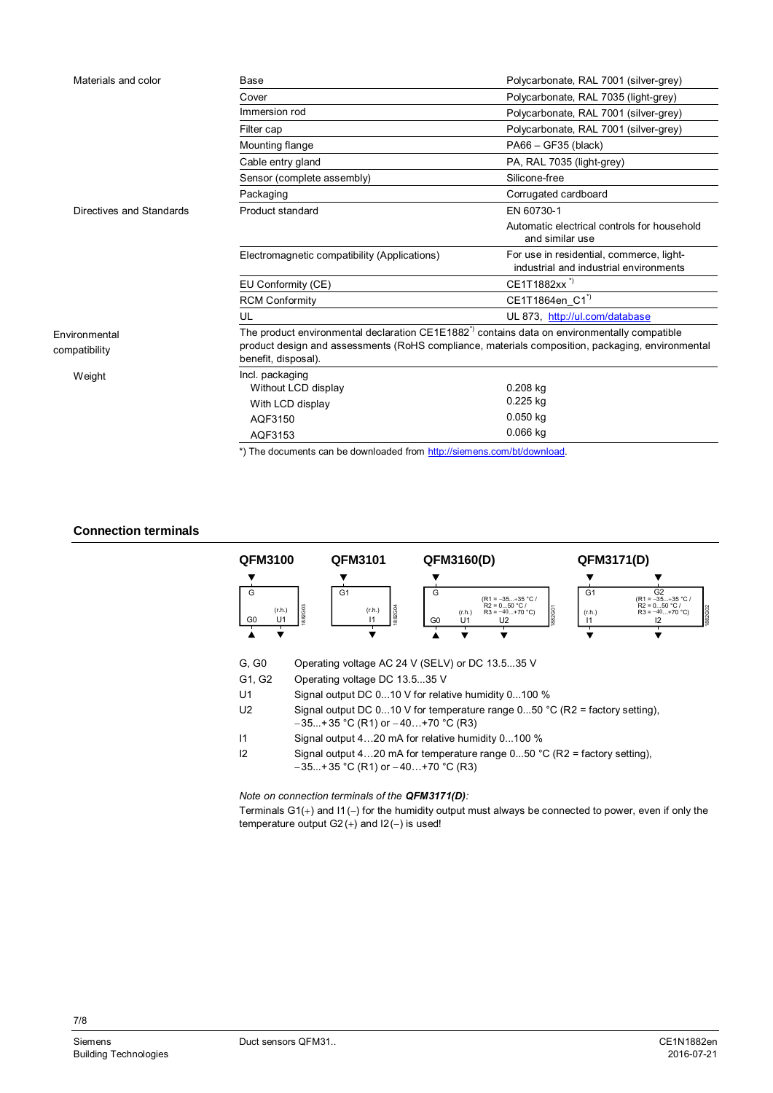| Materials and color            | Base                                                                                                                                                                                                                               | Polycarbonate, RAL 7001 (silver-grey)                                              |
|--------------------------------|------------------------------------------------------------------------------------------------------------------------------------------------------------------------------------------------------------------------------------|------------------------------------------------------------------------------------|
|                                | Cover                                                                                                                                                                                                                              | Polycarbonate, RAL 7035 (light-grey)                                               |
|                                | Immersion rod                                                                                                                                                                                                                      | Polycarbonate, RAL 7001 (silver-grey)                                              |
|                                | Filter cap                                                                                                                                                                                                                         | Polycarbonate, RAL 7001 (silver-grey)                                              |
|                                | Mounting flange                                                                                                                                                                                                                    | PA66 - GF35 (black)                                                                |
|                                | Cable entry gland                                                                                                                                                                                                                  | PA, RAL 7035 (light-grey)                                                          |
|                                | Sensor (complete assembly)                                                                                                                                                                                                         | Silicone-free                                                                      |
|                                | Packaging                                                                                                                                                                                                                          | Corrugated cardboard                                                               |
| Directives and Standards       | Product standard                                                                                                                                                                                                                   | EN 60730-1                                                                         |
|                                |                                                                                                                                                                                                                                    | Automatic electrical controls for household<br>and similar use                     |
|                                | Electromagnetic compatibility (Applications)                                                                                                                                                                                       | For use in residential, commerce, light-<br>industrial and industrial environments |
|                                | EU Conformity (CE)                                                                                                                                                                                                                 | CE1T1882xx <sup>"</sup>                                                            |
|                                | <b>RCM Conformity</b>                                                                                                                                                                                                              | CE1T1864en_C1 <sup>*)</sup>                                                        |
|                                | UL                                                                                                                                                                                                                                 | UL 873, http://ul.com/database                                                     |
| Environmental<br>compatibility | The product environmental declaration CE1E1882 <sup>*</sup> contains data on environmentally compatible<br>product design and assessments (RoHS compliance, materials composition, packaging, environmental<br>benefit, disposal). |                                                                                    |
| Weight                         | Incl. packaging                                                                                                                                                                                                                    |                                                                                    |
|                                | Without LCD display                                                                                                                                                                                                                | 0.208 kg                                                                           |
|                                | With LCD display                                                                                                                                                                                                                   | 0.225 kg                                                                           |
|                                | AQF3150                                                                                                                                                                                                                            | $0.050$ kg                                                                         |
|                                | AQF3153                                                                                                                                                                                                                            | $0.066$ kg                                                                         |

\*) The documents can be downloaded from [http://siemens.com/bt/download.](http://siemens.com/bt/download)

#### **Connection terminals**



| G. G0 | Operating voltage AC 24 V (SELV) or DC 13.535 V |
|-------|-------------------------------------------------|

G1, G2 Operating voltage DC 13.5...35 V

- U1 Signal output DC 0...10 V for relative humidity 0...100 %
- U2 Signal output DC 0...10 V for temperature range 0...50 °C (R2 = factory setting),  $-35...+35$  °C (R1) or  $-40...+70$  °C (R3)
- I1 Signal output 4…20 mA for relative humidity 0...100 %
- I2 Signal output 4...20 mA for temperature range  $0...50$  °C (R2 = factory setting),  $-35...+35$  °C (R1) or  $-40...+70$  °C (R3)

*Note on connection terminals of the QFM3171(D):*

Terminals  $G1(+)$  and  $11(-)$  for the humidity output must always be connected to power, even if only the temperature output  $G2 (+)$  and  $12(-)$  is used!